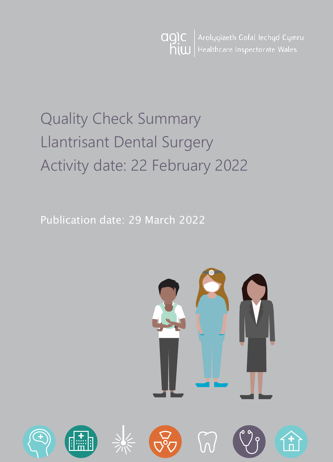Arolygiaeth Gofal Iechyd Cymru agic  $h$ <sub>i</sub>  $\omega$ Healthcare Inspectorate Wales

# Quality Check Summary Llantrisant Dental Surgery Activity date: 22 February 2022

Publication date: 29 March 2022

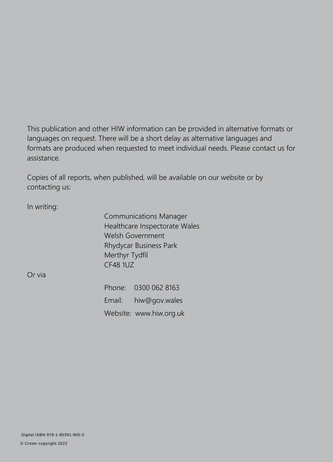This publication and other HIW information can be provided in alternative formats or languages on request. There will be a short delay as alternative languages and formats are produced when requested to meet individual needs. Please contact us for assistance.

Copies of all reports, when published, will be available on our website or by contacting us:

In writing:

Communications Manager Healthcare Inspectorate Wales Welsh Government Rhydycar Business Park Merthyr Tydfil CF48 1UZ

Or via

Phone: 0300 062 8163 Email: [hiw@gov.wales](mailto:hiw@gov.wales) Website: [www.hiw.org.uk](http://www.hiw.org.uk/)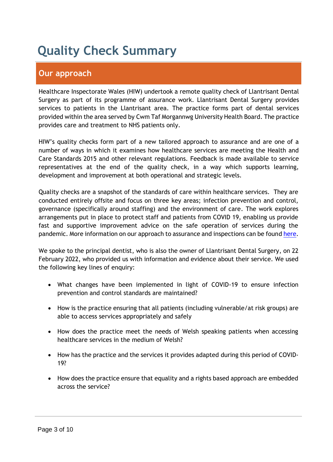# **Quality Check Summary**

# **Our approach**

Healthcare Inspectorate Wales (HIW) undertook a remote quality check of Llantrisant Dental Surgery as part of its programme of assurance work. Llantrisant Dental Surgery provides services to patients in the Llantrisant area. The practice forms part of dental services provided within the area served by Cwm Taf Morgannwg University Health Board. The practice provides care and treatment to NHS patients only.

HIW's quality checks form part of a new tailored approach to assurance and are one of a number of ways in which it examines how healthcare services are meeting the Health and Care Standards 2015 and other relevant regulations. Feedback is made available to service representatives at the end of the quality check, in a way which supports learning, development and improvement at both operational and strategic levels.

Quality checks are a snapshot of the standards of care within healthcare services. They are conducted entirely offsite and focus on three key areas; infection prevention and control, governance (specifically around staffing) and the environment of care. The work explores arrangements put in place to protect staff and patients from COVID 19, enabling us provide fast and supportive improvement advice on the safe operation of services during the pandemic. More information on our approach to assurance and inspections can be found [here.](https://hiw.org.uk/covid-19-response-and-our-approach-assurance-and-inspection)

We spoke to the principal dentist, who is also the owner of Llantrisant Dental Surgery, on 22 February 2022, who provided us with information and evidence about their service. We used the following key lines of enquiry:

- What changes have been implemented in light of COVID-19 to ensure infection prevention and control standards are maintained?
- How is the practice ensuring that all patients (including vulnerable/at risk groups) are able to access services appropriately and safely
- How does the practice meet the needs of Welsh speaking patients when accessing healthcare services in the medium of Welsh?
- How has the practice and the services it provides adapted during this period of COVID-19?
- How does the practice ensure that equality and a rights based approach are embedded across the service?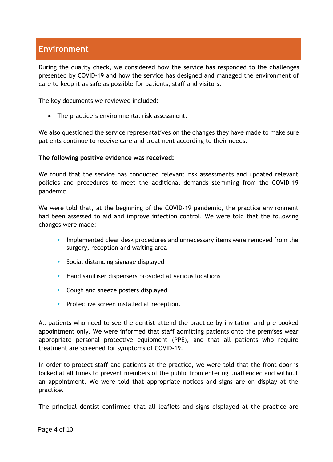# **Environment**

During the quality check, we considered how the service has responded to the challenges presented by COVID-19 and how the service has designed and managed the environment of care to keep it as safe as possible for patients, staff and visitors.

The key documents we reviewed included:

• The practice's environmental risk assessment.

We also questioned the service representatives on the changes they have made to make sure patients continue to receive care and treatment according to their needs.

#### **The following positive evidence was received:**

We found that the service has conducted relevant risk assessments and updated relevant policies and procedures to meet the additional demands stemming from the COVID-19 pandemic.

We were told that, at the beginning of the COVID-19 pandemic, the practice environment had been assessed to aid and improve infection control. We were told that the following changes were made:

- Implemented clear desk procedures and unnecessary items were removed from the surgery, reception and waiting area
- Social distancing signage displayed
- Hand sanitiser dispensers provided at various locations
- Cough and sneeze posters displayed
- Protective screen installed at reception.

All patients who need to see the dentist attend the practice by invitation and pre-booked appointment only. We were informed that staff admitting patients onto the premises wear appropriate personal protective equipment (PPE), and that all patients who require treatment are screened for symptoms of COVID-19.

In order to protect staff and patients at the practice, we were told that the front door is locked at all times to prevent members of the public from entering unattended and without an appointment. We were told that appropriate notices and signs are on display at the practice.

The principal dentist confirmed that all leaflets and signs displayed at the practice are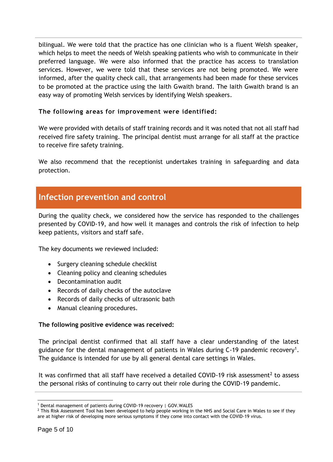bilingual. We were told that the practice has one clinician who is a fluent Welsh speaker, which helps to meet the needs of Welsh speaking patients who wish to communicate in their preferred language. We were also informed that the practice has access to translation services. However, we were told that these services are not being promoted. We were informed, after the quality check call, that arrangements had been made for these services to be promoted at the practice using the Iaith Gwaith brand. The Iaith Gwaith brand is an easy way of promoting Welsh services by identifying Welsh speakers.

#### **The following areas for improvement were identified:**

We were provided with details of staff training records and it was noted that not all staff had received fire safety training. The principal dentist must arrange for all staff at the practice to receive fire safety training.

We also recommend that the receptionist undertakes training in safeguarding and data protection.

## **Infection prevention and control**

During the quality check, we considered how the service has responded to the challenges presented by COVID-19, and how well it manages and controls the risk of infection to help keep patients, visitors and staff safe.

The key documents we reviewed included:

- Surgery cleaning schedule checklist
- Cleaning policy and cleaning schedules
- Decontamination audit
- Records of daily checks of the autoclave
- Records of daily checks of ultrasonic bath
- Manual cleaning procedures.

#### **The following positive evidence was received:**

The principal dentist confirmed that all staff have a clear understanding of the latest guidance for the dental management of patients in Wales during C-19 pandemic recovery<sup>1</sup>. The guidance is intended for use by all general dental care settings in Wales.

It was confirmed that all staff have received a detailed COVID-19 risk assessment<sup>2</sup> to assess the personal risks of continuing to carry out their role during the COVID-19 pandemic.

 <sup>1</sup> [Dental management of patients during COVID-19 recovery | GOV.WALES](https://gov.wales/dental-management-patients-during-covid-19-recovery)

<sup>&</sup>lt;sup>2</sup> This Risk Assessment Tool has been developed to help people working in the NHS and Social Care in Wales to see if they are at higher risk of developing more serious symptoms if they come into contact with the COVID-19 virus.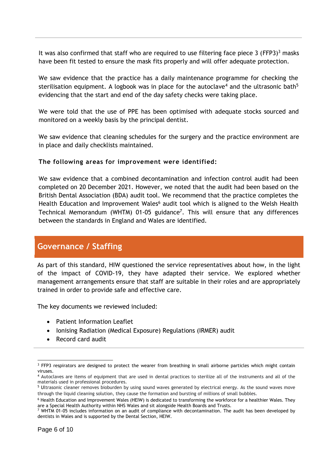It was also confirmed that staff who are required to use filtering face piece 3 (FFP3)<sup>3</sup> masks have been fit tested to ensure the mask fits properly and will offer adequate protection.

We saw evidence that the practice has a daily maintenance programme for checking the sterilisation equipment. A logbook was in place for the autoclave<sup>4</sup> and the ultrasonic bath<sup>5</sup> evidencing that the start and end of the day safety checks were taking place.

We were told that the use of PPE has been optimised with adequate stocks sourced and monitored on a weekly basis by the principal dentist.

We saw evidence that cleaning schedules for the surgery and the practice environment are in place and daily checklists maintained.

#### **The following areas for improvement were identified:**

We saw evidence that a combined decontamination and infection control audit had been completed on 20 December 2021. However, we noted that the audit had been based on the British Dental Association (BDA) audit tool. We recommend that the practice completes the Health Education and Improvement Wales<sup>6</sup> audit tool which is aligned to the Welsh Health Technical Memorandum (WHTM) 01-05 guidance<sup>7</sup>. This will ensure that any differences between the standards in England and Wales are identified.

### **Governance / Staffing**

As part of this standard, HIW questioned the service representatives about how, in the light of the impact of COVID-19, they have adapted their service. We explored whether management arrangements ensure that staff are suitable in their roles and are appropriately trained in order to provide safe and effective care.

The key documents we reviewed included:

- Patient Information Leaflet
- Ionising Radiation (Medical Exposure) Regulations (IRMER) audit
- Record card audit

 $\overline{a}$ <sup>3</sup> FFP3 respirators are designed to protect the wearer from breathing in small airborne particles which might contain viruses.

<sup>4</sup> Autoclaves are items of equipment that are used in dental practices to sterilize all of the instruments and all of the materials used in professional procedures.

<sup>5</sup> Ultrasonic cleaner removes bioburden by using sound waves generated by electrical energy. As the sound waves move through the liquid cleaning solution, they cause the formation and bursting of millions of small bubbles.

<sup>6</sup> Health Education and Improvement Wales (HEIW) is dedicated to transforming the workforce for a healthier Wales. They are a Special Health Authority within NHS Wales and sit alongside Health Boards and Trusts.

 $7$  WHTM 01-05 includes information on an audit of compliance with decontamination. The audit has been developed by dentists in Wales and is supported by the Dental Section, HEIW.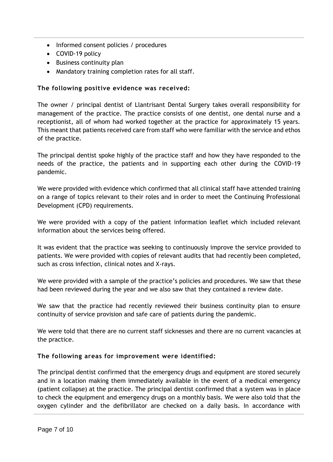- Informed consent policies / procedures
- COVID-19 policy
- Business continuity plan
- Mandatory training completion rates for all staff.

#### **The following positive evidence was received:**

The owner / principal dentist of Llantrisant Dental Surgery takes overall responsibility for management of the practice. The practice consists of one dentist, one dental nurse and a receptionist, all of whom had worked together at the practice for approximately 15 years. This meant that patients received care from staff who were familiar with the service and ethos of the practice.

The principal dentist spoke highly of the practice staff and how they have responded to the needs of the practice, the patients and in supporting each other during the COVID-19 pandemic.

We were provided with evidence which confirmed that all clinical staff have attended training on a range of topics relevant to their roles and in order to meet the Continuing Professional Development (CPD) requirements.

We were provided with a copy of the patient information leaflet which included relevant information about the services being offered.

It was evident that the practice was seeking to continuously improve the service provided to patients. We were provided with copies of relevant audits that had recently been completed, such as cross infection, clinical notes and X-rays.

We were provided with a sample of the practice's policies and procedures. We saw that these had been reviewed during the year and we also saw that they contained a review date.

We saw that the practice had recently reviewed their business continuity plan to ensure continuity of service provision and safe care of patients during the pandemic.

We were told that there are no current staff sicknesses and there are no current vacancies at the practice.

#### **The following areas for improvement were identified:**

The principal dentist confirmed that the emergency drugs and equipment are stored securely and in a location making them immediately available in the event of a medical emergency (patient collapse) at the practice. The principal dentist confirmed that a system was in place to check the equipment and emergency drugs on a monthly basis. We were also told that the oxygen cylinder and the defibrillator are checked on a daily basis. In accordance with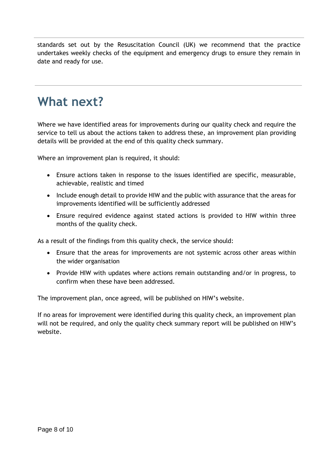standards set out by the Resuscitation Council (UK) we recommend that the practice undertakes weekly checks of the equipment and emergency drugs to ensure they remain in date and ready for use.

# **What next?**

Where we have identified areas for improvements during our quality check and require the service to tell us about the actions taken to address these, an improvement plan providing details will be provided at the end of this quality check summary.

Where an improvement plan is required, it should:

- Ensure actions taken in response to the issues identified are specific, measurable, achievable, realistic and timed
- Include enough detail to provide HIW and the public with assurance that the areas for improvements identified will be sufficiently addressed
- Ensure required evidence against stated actions is provided to HIW within three months of the quality check.

As a result of the findings from this quality check, the service should:

- Ensure that the areas for improvements are not systemic across other areas within the wider organisation
- Provide HIW with updates where actions remain outstanding and/or in progress, to confirm when these have been addressed.

The improvement plan, once agreed, will be published on HIW's website.

If no areas for improvement were identified during this quality check, an improvement plan will not be required, and only the quality check summary report will be published on HIW's website.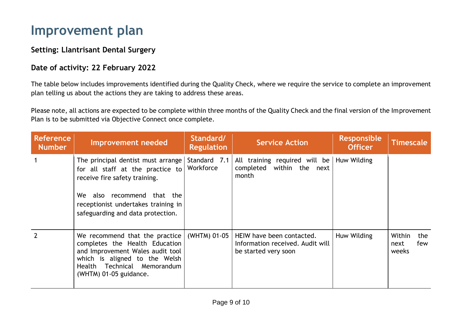# **Improvement plan**

### **Setting: Llantrisant Dental Surgery**

### **Date of activity: 22 February 2022**

The table below includes improvements identified during the Quality Check, where we require the service to complete an improvement plan telling us about the actions they are taking to address these areas.

Please note, all actions are expected to be complete within three months of the Quality Check and the final version of the Improvement Plan is to be submitted via Objective Connect once complete.

| <b>Reference</b><br><b>Number</b> | <b>Improvement needed</b>                                                                                                                                                                                         | Standard/<br><b>Regulation</b> | <b>Service Action</b>                                                                 | <b>Responsible</b><br><b>Officer</b> | <b>Timescale</b>                      |
|-----------------------------------|-------------------------------------------------------------------------------------------------------------------------------------------------------------------------------------------------------------------|--------------------------------|---------------------------------------------------------------------------------------|--------------------------------------|---------------------------------------|
|                                   | The principal dentist must arrange<br>for all staff at the practice to<br>receive fire safety training.<br>We also recommend that the<br>receptionist undertakes training in<br>safeguarding and data protection. | Standard 7.1<br>Workforce      | All training required will be<br>within the next<br>completed<br>month                | Huw Wilding                          |                                       |
| $\overline{2}$                    | We recommend that the practice<br>completes the Health Education<br>and Improvement Wales audit tool<br>which is aligned to the Welsh<br>Health Technical Memorandum<br>(WHTM) 01-05 guidance.                    | (WHTM) 01-05                   | HEIW have been contacted.<br>Information received. Audit will<br>be started very soon | Huw Wilding                          | Within<br>the<br>few<br>next<br>weeks |